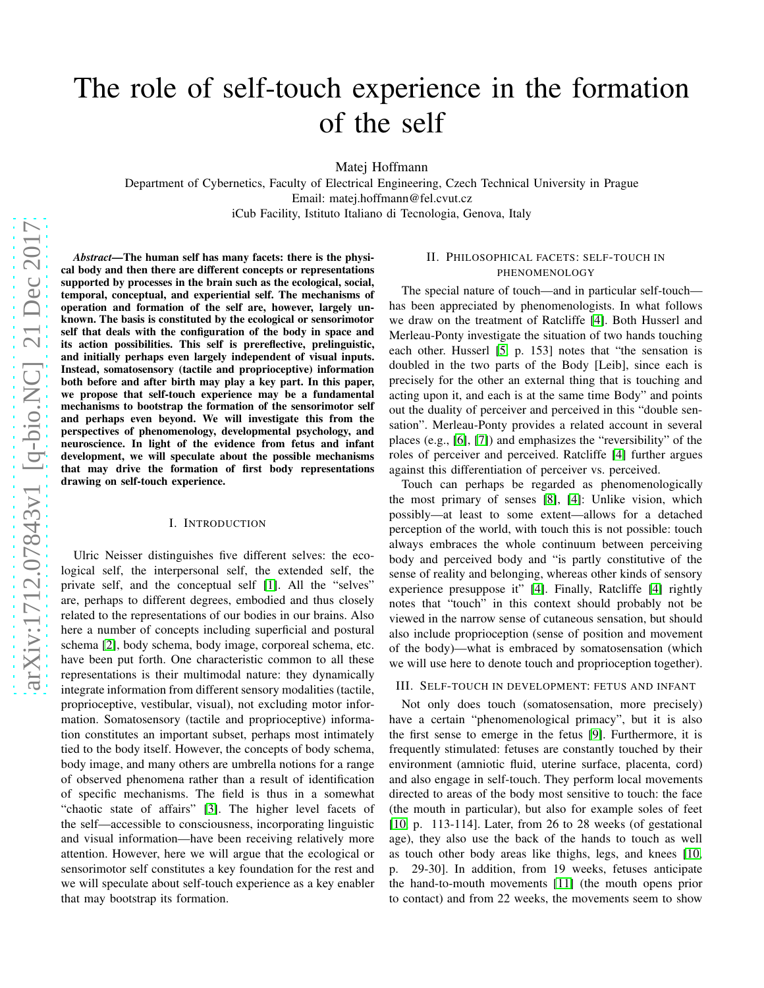# The role of self-touch experience in the formation of the self

Matej Hoffmann

Department of Cybernetics, Faculty of Electrical Engineering, Czech Technical University in Prague Email: matej.hoffmann@fel.cvut.cz iCub Facility, Istituto Italiano di Tecnologia, Genova, Italy

*Abstract*—The human self has many facets: there is the physical body and then there are different concepts or representations supported by processes in the brain such as the ecological, social, temporal, conceptual, and experiential self. The mechanisms of operation and formation of the self are, however, largely unknown. The basis is constituted by the ecological or sensorimotor self that deals with the configuration of the body in space and its action possibilities. This self is prereflective, prelinguistic, and initially perhaps even largely independent of visual inputs. Instead, somatosensory (tactile and proprioceptive) information both before and after birth may play a key part. In this paper, we propose that self-touch experience may be a fundamental mechanisms to bootstrap the formation of the sensorimotor self and perhaps even beyond. We will investigate this from the perspectives of phenomenology, developmental psychology, and neuroscience. In light of the evidence from fetus and infant development, we will speculate about the possible mechanisms that may drive the formation of first body representations drawing on self-touch experience.

### I. INTRODUCTION

Ulric Neisser distinguishes five different selves: the ecological self, the interpersonal self, the extended self, the private self, and the conceptual self [\[1\]](#page-3-0). All the "selves" are, perhaps to different degrees, embodied and thus closely related to the representations of our bodies in our brains. Also here a number of concepts including superficial and postural schema [\[2\]](#page-3-1), body schema, body image, corporeal schema, etc. have been put forth. One characteristic common to all these representations is their multimodal nature: they dynamically integrate information from different sensory modalities (tactile, proprioceptive, vestibular, visual), not excluding motor information. Somatosensory (tactile and proprioceptive) information constitutes an important subset, perhaps most intimately tied to the body itself. However, the concepts of body schema, body image, and many others are umbrella notions for a range of observed phenomena rather than a result of identification of specific mechanisms. The field is thus in a somewhat "chaotic state of affairs" [\[3\]](#page-3-2). The higher level facets of the self—accessible to consciousness, incorporating linguistic and visual information—have been receiving relatively more attention. However, here we will argue that the ecological or sensorimotor self constitutes a key foundation for the rest and we will speculate about self-touch experience as a key enabler that may bootstrap its formation.

### II. PHILOSOPHICAL FACETS: SELF-TOUCH IN PHENOMENOLOGY

The special nature of touch—and in particular self-touch has been appreciated by phenomenologists. In what follows we draw on the treatment of Ratcliffe [\[4\]](#page-3-3). Both Husserl and Merleau-Ponty investigate the situation of two hands touching each other. Husserl [\[5,](#page-3-4) p. 153] notes that "the sensation is doubled in the two parts of the Body [Leib], since each is precisely for the other an external thing that is touching and acting upon it, and each is at the same time Body" and points out the duality of perceiver and perceived in this "double sensation". Merleau-Ponty provides a related account in several places (e.g., [\[6\]](#page-3-5), [\[7\]](#page-3-6)) and emphasizes the "reversibility" of the roles of perceiver and perceived. Ratcliffe [\[4\]](#page-3-3) further argues against this differentiation of perceiver vs. perceived.

Touch can perhaps be regarded as phenomenologically the most primary of senses [\[8\]](#page-3-7), [\[4\]](#page-3-3): Unlike vision, which possibly—at least to some extent—allows for a detached perception of the world, with touch this is not possible: touch always embraces the whole continuum between perceiving body and perceived body and "is partly constitutive of the sense of reality and belonging, whereas other kinds of sensory experience presuppose it" [\[4\]](#page-3-3). Finally, Ratcliffe [\[4\]](#page-3-3) rightly notes that "touch" in this context should probably not be viewed in the narrow sense of cutaneous sensation, but should also include proprioception (sense of position and movement of the body)—what is embraced by somatosensation (which we will use here to denote touch and proprioception together).

## <span id="page-0-0"></span>III. SELF-TOUCH IN DEVELOPMENT: FETUS AND INFANT

Not only does touch (somatosensation, more precisely) have a certain "phenomenological primacy", but it is also the first sense to emerge in the fetus [\[9\]](#page-3-8). Furthermore, it is frequently stimulated: fetuses are constantly touched by their environment (amniotic fluid, uterine surface, placenta, cord) and also engage in self-touch. They perform local movements directed to areas of the body most sensitive to touch: the face (the mouth in particular), but also for example soles of feet [\[10,](#page-3-9) p. 113-114]. Later, from 26 to 28 weeks (of gestational age), they also use the back of the hands to touch as well as touch other body areas like thighs, legs, and knees [\[10,](#page-3-9) p. 29-30]. In addition, from 19 weeks, fetuses anticipate the hand-to-mouth movements [\[11\]](#page-3-10) (the mouth opens prior to contact) and from 22 weeks, the movements seem to show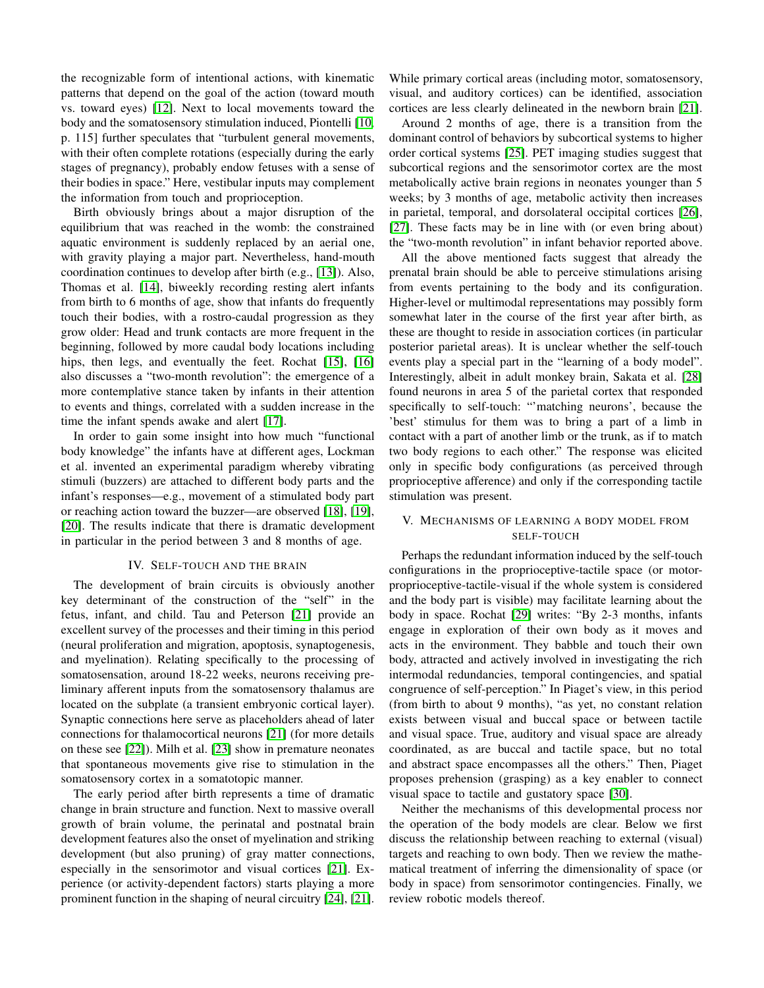the recognizable form of intentional actions, with kinematic patterns that depend on the goal of the action (toward mouth vs. toward eyes) [\[12\]](#page-3-11). Next to local movements toward the body and the somatosensory stimulation induced, Piontelli [\[10,](#page-3-9) p. 115] further speculates that "turbulent general movements, with their often complete rotations (especially during the early stages of pregnancy), probably endow fetuses with a sense of their bodies in space." Here, vestibular inputs may complement the information from touch and proprioception.

Birth obviously brings about a major disruption of the equilibrium that was reached in the womb: the constrained aquatic environment is suddenly replaced by an aerial one, with gravity playing a major part. Nevertheless, hand-mouth coordination continues to develop after birth (e.g., [\[13\]](#page-3-12)). Also, Thomas et al. [\[14\]](#page-3-13), biweekly recording resting alert infants from birth to 6 months of age, show that infants do frequently touch their bodies, with a rostro-caudal progression as they grow older: Head and trunk contacts are more frequent in the beginning, followed by more caudal body locations including hips, then legs, and eventually the feet. Rochat [\[15\]](#page-3-14), [\[16\]](#page-3-15) also discusses a "two-month revolution": the emergence of a more contemplative stance taken by infants in their attention to events and things, correlated with a sudden increase in the time the infant spends awake and alert [\[17\]](#page-3-16).

In order to gain some insight into how much "functional body knowledge" the infants have at different ages, Lockman et al. invented an experimental paradigm whereby vibrating stimuli (buzzers) are attached to different body parts and the infant's responses—e.g., movement of a stimulated body part or reaching action toward the buzzer—are observed [\[18\]](#page-3-17), [\[19\]](#page-3-18), [\[20\]](#page-3-19). The results indicate that there is dramatic development in particular in the period between 3 and 8 months of age.

#### IV. SELF-TOUCH AND THE BRAIN

<span id="page-1-0"></span>The development of brain circuits is obviously another key determinant of the construction of the "self" in the fetus, infant, and child. Tau and Peterson [\[21\]](#page-3-20) provide an excellent survey of the processes and their timing in this period (neural proliferation and migration, apoptosis, synaptogenesis, and myelination). Relating specifically to the processing of somatosensation, around 18-22 weeks, neurons receiving preliminary afferent inputs from the somatosensory thalamus are located on the subplate (a transient embryonic cortical layer). Synaptic connections here serve as placeholders ahead of later connections for thalamocortical neurons [\[21\]](#page-3-20) (for more details on these see [\[22\]](#page-3-21)). Milh et al. [\[23\]](#page-3-22) show in premature neonates that spontaneous movements give rise to stimulation in the somatosensory cortex in a somatotopic manner.

The early period after birth represents a time of dramatic change in brain structure and function. Next to massive overall growth of brain volume, the perinatal and postnatal brain development features also the onset of myelination and striking development (but also pruning) of gray matter connections, especially in the sensorimotor and visual cortices [\[21\]](#page-3-20). Experience (or activity-dependent factors) starts playing a more prominent function in the shaping of neural circuitry [\[24\]](#page-3-23), [\[21\]](#page-3-20).

While primary cortical areas (including motor, somatosensory, visual, and auditory cortices) can be identified, association cortices are less clearly delineated in the newborn brain [\[21\]](#page-3-20).

Around 2 months of age, there is a transition from the dominant control of behaviors by subcortical systems to higher order cortical systems [\[25\]](#page-3-24). PET imaging studies suggest that subcortical regions and the sensorimotor cortex are the most metabolically active brain regions in neonates younger than 5 weeks; by 3 months of age, metabolic activity then increases in parietal, temporal, and dorsolateral occipital cortices [\[26\]](#page-3-25), [\[27\]](#page-3-26). These facts may be in line with (or even bring about) the "two-month revolution" in infant behavior reported above.

All the above mentioned facts suggest that already the prenatal brain should be able to perceive stimulations arising from events pertaining to the body and its configuration. Higher-level or multimodal representations may possibly form somewhat later in the course of the first year after birth, as these are thought to reside in association cortices (in particular posterior parietal areas). It is unclear whether the self-touch events play a special part in the "learning of a body model". Interestingly, albeit in adult monkey brain, Sakata et al. [\[28\]](#page-3-27) found neurons in area 5 of the parietal cortex that responded specifically to self-touch: "matching neurons', because the 'best' stimulus for them was to bring a part of a limb in contact with a part of another limb or the trunk, as if to match two body regions to each other." The response was elicited only in specific body configurations (as perceived through proprioceptive afference) and only if the corresponding tactile stimulation was present.

## V. MECHANISMS OF LEARNING A BODY MODEL FROM SELF-TOUCH

Perhaps the redundant information induced by the self-touch configurations in the proprioceptive-tactile space (or motorproprioceptive-tactile-visual if the whole system is considered and the body part is visible) may facilitate learning about the body in space. Rochat [\[29\]](#page-3-28) writes: "By 2-3 months, infants engage in exploration of their own body as it moves and acts in the environment. They babble and touch their own body, attracted and actively involved in investigating the rich intermodal redundancies, temporal contingencies, and spatial congruence of self-perception." In Piaget's view, in this period (from birth to about 9 months), "as yet, no constant relation exists between visual and buccal space or between tactile and visual space. True, auditory and visual space are already coordinated, as are buccal and tactile space, but no total and abstract space encompasses all the others." Then, Piaget proposes prehension (grasping) as a key enabler to connect visual space to tactile and gustatory space [\[30\]](#page-3-29).

Neither the mechanisms of this developmental process nor the operation of the body models are clear. Below we first discuss the relationship between reaching to external (visual) targets and reaching to own body. Then we review the mathematical treatment of inferring the dimensionality of space (or body in space) from sensorimotor contingencies. Finally, we review robotic models thereof.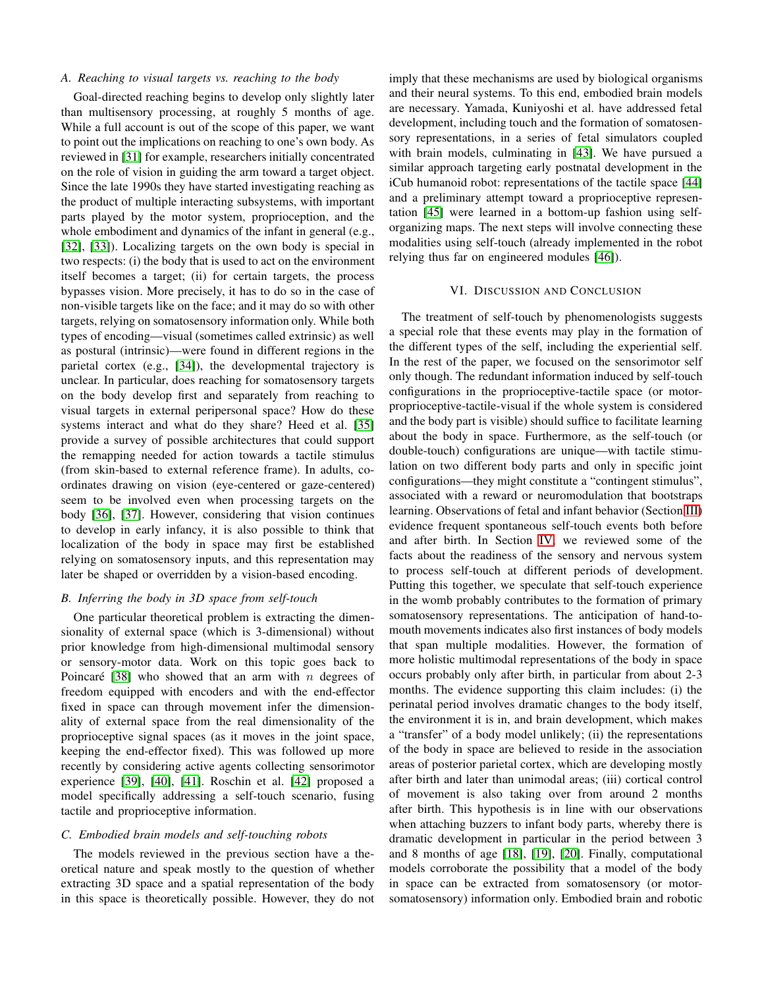#### *A. Reaching to visual targets vs. reaching to the body*

Goal-directed reaching begins to develop only slightly later than multisensory processing, at roughly 5 months of age. While a full account is out of the scope of this paper, we want to point out the implications on reaching to one's own body. As reviewed in [\[31\]](#page-3-30) for example, researchers initially concentrated on the role of vision in guiding the arm toward a target object. Since the late 1990s they have started investigating reaching as the product of multiple interacting subsystems, with important parts played by the motor system, proprioception, and the whole embodiment and dynamics of the infant in general (e.g., [\[32\]](#page-3-31), [\[33\]](#page-3-32)). Localizing targets on the own body is special in two respects: (i) the body that is used to act on the environment itself becomes a target; (ii) for certain targets, the process bypasses vision. More precisely, it has to do so in the case of non-visible targets like on the face; and it may do so with other targets, relying on somatosensory information only. While both types of encoding—visual (sometimes called extrinsic) as well as postural (intrinsic)—were found in different regions in the parietal cortex (e.g., [\[34\]](#page-3-33)), the developmental trajectory is unclear. In particular, does reaching for somatosensory targets on the body develop first and separately from reaching to visual targets in external peripersonal space? How do these systems interact and what do they share? Heed et al. [\[35\]](#page-3-34) provide a survey of possible architectures that could support the remapping needed for action towards a tactile stimulus (from skin-based to external reference frame). In adults, coordinates drawing on vision (eye-centered or gaze-centered) seem to be involved even when processing targets on the body [\[36\]](#page-3-35), [\[37\]](#page-3-36). However, considering that vision continues to develop in early infancy, it is also possible to think that localization of the body in space may first be established relying on somatosensory inputs, and this representation may later be shaped or overridden by a vision-based encoding.

## *B. Inferring the body in 3D space from self-touch*

One particular theoretical problem is extracting the dimensionality of external space (which is 3-dimensional) without prior knowledge from high-dimensional multimodal sensory or sensory-motor data. Work on this topic goes back to Poincaré [\[38\]](#page-3-37) who showed that an arm with n degrees of freedom equipped with encoders and with the end-effector fixed in space can through movement infer the dimensionality of external space from the real dimensionality of the proprioceptive signal spaces (as it moves in the joint space, keeping the end-effector fixed). This was followed up more recently by considering active agents collecting sensorimotor experience [\[39\]](#page-3-38), [\[40\]](#page-3-39), [\[41\]](#page-3-40). Roschin et al. [\[42\]](#page-3-41) proposed a model specifically addressing a self-touch scenario, fusing tactile and proprioceptive information.

## *C. Embodied brain models and self-touching robots*

The models reviewed in the previous section have a theoretical nature and speak mostly to the question of whether extracting 3D space and a spatial representation of the body in this space is theoretically possible. However, they do not imply that these mechanisms are used by biological organisms and their neural systems. To this end, embodied brain models are necessary. Yamada, Kuniyoshi et al. have addressed fetal development, including touch and the formation of somatosensory representations, in a series of fetal simulators coupled with brain models, culminating in [\[43\]](#page-3-42). We have pursued a similar approach targeting early postnatal development in the iCub humanoid robot: representations of the tactile space [\[44\]](#page-3-43) and a preliminary attempt toward a proprioceptive representation [\[45\]](#page-3-44) were learned in a bottom-up fashion using selforganizing maps. The next steps will involve connecting these modalities using self-touch (already implemented in the robot relying thus far on engineered modules [\[46\]](#page-3-45)).

#### VI. DISCUSSION AND CONCLUSION

The treatment of self-touch by phenomenologists suggests a special role that these events may play in the formation of the different types of the self, including the experiential self. In the rest of the paper, we focused on the sensorimotor self only though. The redundant information induced by self-touch configurations in the proprioceptive-tactile space (or motorproprioceptive-tactile-visual if the whole system is considered and the body part is visible) should suffice to facilitate learning about the body in space. Furthermore, as the self-touch (or double-touch) configurations are unique—with tactile stimulation on two different body parts and only in specific joint configurations—they might constitute a "contingent stimulus", associated with a reward or neuromodulation that bootstraps learning. Observations of fetal and infant behavior (Section [III\)](#page-0-0) evidence frequent spontaneous self-touch events both before and after birth. In Section [IV,](#page-1-0) we reviewed some of the facts about the readiness of the sensory and nervous system to process self-touch at different periods of development. Putting this together, we speculate that self-touch experience in the womb probably contributes to the formation of primary somatosensory representations. The anticipation of hand-tomouth movements indicates also first instances of body models that span multiple modalities. However, the formation of more holistic multimodal representations of the body in space occurs probably only after birth, in particular from about 2-3 months. The evidence supporting this claim includes: (i) the perinatal period involves dramatic changes to the body itself, the environment it is in, and brain development, which makes a "transfer" of a body model unlikely; (ii) the representations of the body in space are believed to reside in the association areas of posterior parietal cortex, which are developing mostly after birth and later than unimodal areas; (iii) cortical control of movement is also taking over from around 2 months after birth. This hypothesis is in line with our observations when attaching buzzers to infant body parts, whereby there is dramatic development in particular in the period between 3 and 8 months of age [\[18\]](#page-3-17), [\[19\]](#page-3-18), [\[20\]](#page-3-19). Finally, computational models corroborate the possibility that a model of the body in space can be extracted from somatosensory (or motorsomatosensory) information only. Embodied brain and robotic